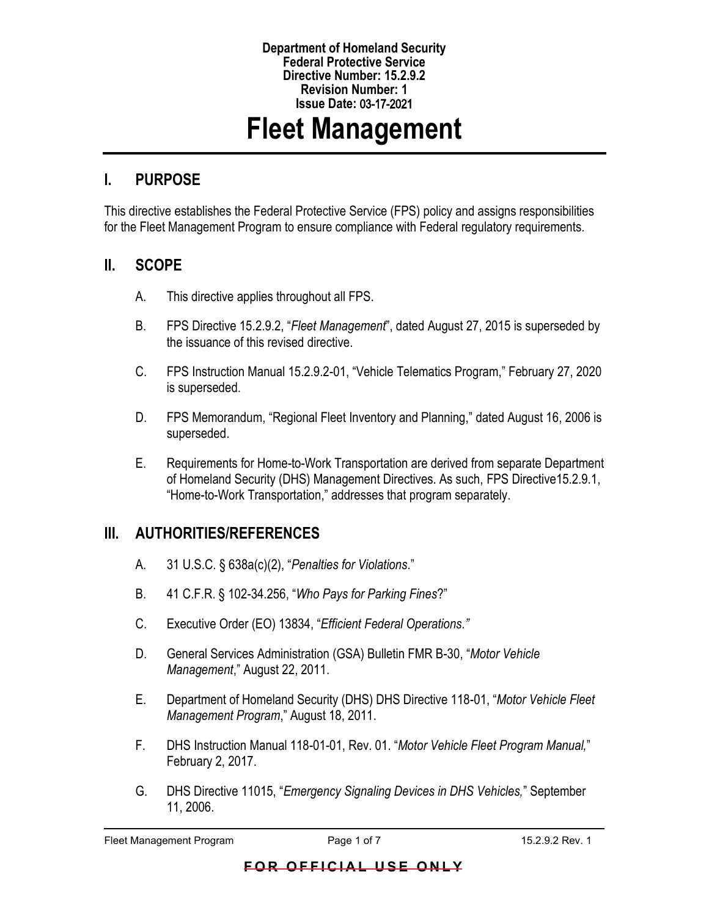#### **Department of Homeland Security Federal Protective Service Directive Number: 15.2.9.2 Revision Number: 1 Issue Date:** 03-17-2021

# **Fleet Management**

### **I. PURPOSE**

This directive establishes the Federal Protective Service (FPS) policy and assigns responsibilities for the Fleet Management Program to ensure compliance with Federal regulatory requirements.

#### **II. SCOPE**

- A. This directive applies throughout all FPS.
- B. FPS Directive 15.2.9.2, "*Fleet Management*", dated August 27, 2015 is superseded by the issuance of this revised directive.
- C. FPS Instruction Manual 15.2.9.2-01, "Vehicle Telematics Program," February 27, 2020 is superseded.
- D. FPS Memorandum, "Regional Fleet Inventory and Planning," dated August 16, 2006 is superseded.
- E. Requirements for Home-to-Work Transportation are derived from separate Department of Homeland Security (DHS) Management Directives. As such, FPS Directive15.2.9.1, "Home-to-Work Transportation," addresses that program separately.

#### **III. AUTHORITIES/REFERENCES**

- A. 31 U.S.C. § 638a(c)(2), "*Penalties for Violations*."
- B. 41 C.F.R. § 102-34.256, "*Who Pays for Parking Fines*?"
- C. Executive Order (EO) 13834, "*Efficient Federal Operations."*
- D. General Services Administration (GSA) Bulletin FMR B-30, "*Motor Vehicle Management*," August 22, 2011.
- E. Department of Homeland Security (DHS) DHS Directive 118-01, "*Motor Vehicle Fleet Management Program*," August 18, 2011.
- F. DHS Instruction Manual 118-01-01, Rev. 01. "*Motor Vehicle Fleet Program Manual,*" February 2, 2017.
- G. DHS Directive 11015, "*Emergency Signaling Devices in DHS Vehicles,*" September 11, 2006.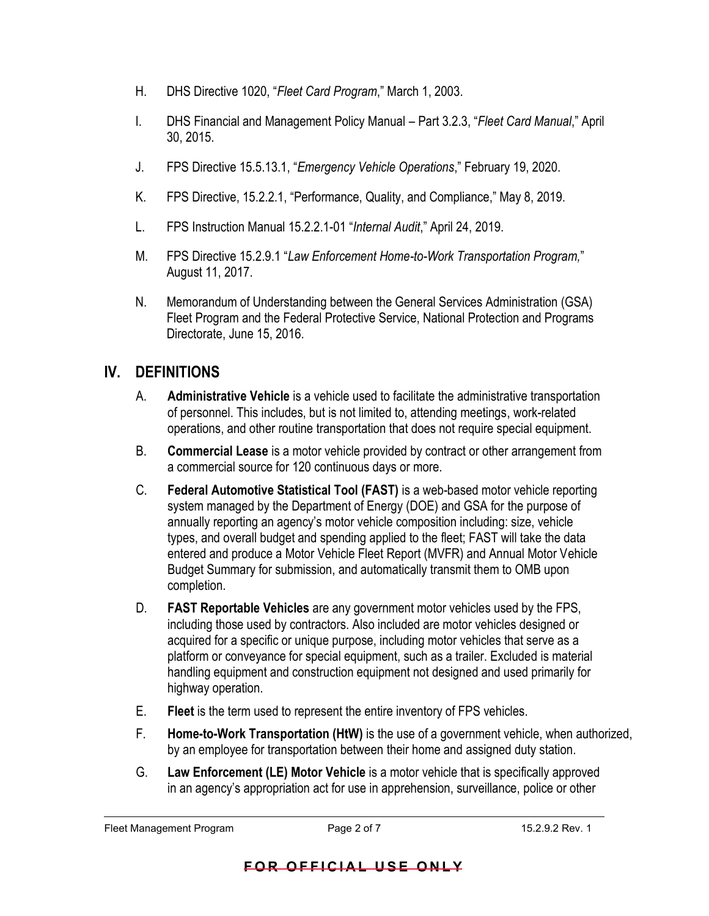- H. DHS Directive 1020, "*Fleet Card Program*," March 1, 2003.
- I. DHS Financial and Management Policy Manual Part 3.2.3, "*Fleet Card Manual*," April 30, 2015.
- J. FPS Directive 15.5.13.1, "*Emergency Vehicle Operations*," February 19, 2020.
- K. FPS Directive, 15.2.2.1, "Performance, Quality, and Compliance," May 8, 2019.
- L. FPS Instruction Manual 15.2.2.1-01 "*Internal Audit*," April 24, 2019.
- M. FPS Directive 15.2.9.1 "*Law Enforcement Home-to-Work Transportation Program,*" August 11, 2017.
- N. Memorandum of Understanding between the General Services Administration (GSA) Fleet Program and the Federal Protective Service, National Protection and Programs Directorate, June 15, 2016.

## **IV. DEFINITIONS**

- A. **Administrative Vehicle** is a vehicle used to facilitate the administrative transportation of personnel. This includes, but is not limited to, attending meetings, work-related operations, and other routine transportation that does not require special equipment.
- B. **Commercial Lease** is a motor vehicle provided by contract or other arrangement from a commercial source for 120 continuous days or more.
- C. **Federal Automotive Statistical Tool (FAST)** is a web-based motor vehicle reporting system managed by the Department of Energy (DOE) and GSA for the purpose of annually reporting an agency's motor vehicle composition including: size, vehicle types, and overall budget and spending applied to the fleet; FAST will take the data entered and produce a Motor Vehicle Fleet Report (MVFR) and Annual Motor Vehicle Budget Summary for submission, and automatically transmit them to OMB upon completion.
- D. **FAST Reportable Vehicles** are any government motor vehicles used by the FPS, including those used by contractors. Also included are motor vehicles designed or acquired for a specific or unique purpose, including motor vehicles that serve as a platform or conveyance for special equipment, such as a trailer. Excluded is material handling equipment and construction equipment not designed and used primarily for highway operation.
- E. **Fleet** is the term used to represent the entire inventory of FPS vehicles.
- F. **Home-to-Work Transportation (HtW)** is the use of a government vehicle, when authorized, by an employee for transportation between their home and assigned duty station.
- G. **Law Enforcement (LE) Motor Vehicle** is a motor vehicle that is specifically approved in an agency's appropriation act for use in apprehension, surveillance, police or other

Fleet Management Program **Page 2 of 7** 15.2.9.2 Rev. 1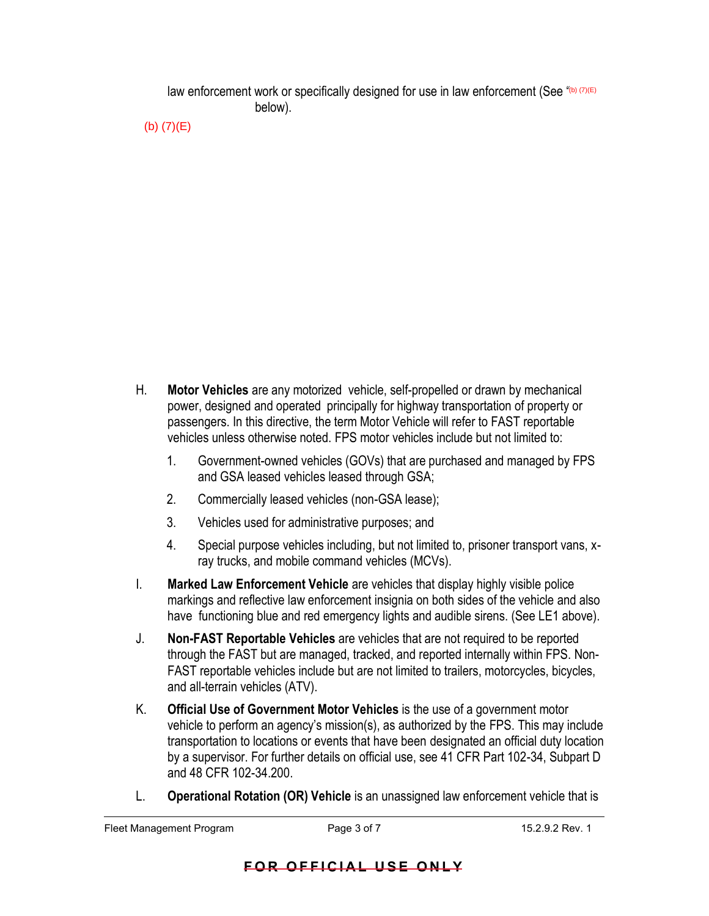law enforcement work or specifically designed for use in law enforcement (See "(b) (7)(E) below).

(b) (7)(E)

- H. **Motor Vehicles** are any motorized vehicle, self-propelled or drawn by mechanical power, designed and operated principally for highway transportation of property or passengers. In this directive, the term Motor Vehicle will refer to FAST reportable vehicles unless otherwise noted. FPS motor vehicles include but not limited to:
	- 1. Government-owned vehicles (GOVs) that are purchased and managed by FPS and GSA leased vehicles leased through GSA;
	- 2. Commercially leased vehicles (non-GSA lease);
	- 3. Vehicles used for administrative purposes; and
	- 4. Special purpose vehicles including, but not limited to, prisoner transport vans, xray trucks, and mobile command vehicles (MCVs).
- I. **Marked Law Enforcement Vehicle** are vehicles that display highly visible police markings and reflective law enforcement insignia on both sides of the vehicle and also have functioning blue and red emergency lights and audible sirens. (See LE1 above).
- J. **Non-FAST Reportable Vehicles** are vehicles that are not required to be reported through the FAST but are managed, tracked, and reported internally within FPS. Non-FAST reportable vehicles include but are not limited to trailers, motorcycles, bicycles, and all-terrain vehicles (ATV).
- K. **Official Use of Government Motor Vehicles** is the use of a government motor vehicle to perform an agency's mission(s), as authorized by the FPS. This may include transportation to locations or events that have been designated an official duty location by a supervisor. For further details on official use, see 41 CFR Part 102-34, Subpart D and 48 CFR 102-34.200.
- L. **Operational Rotation (OR) Vehicle** is an unassigned law enforcement vehicle that is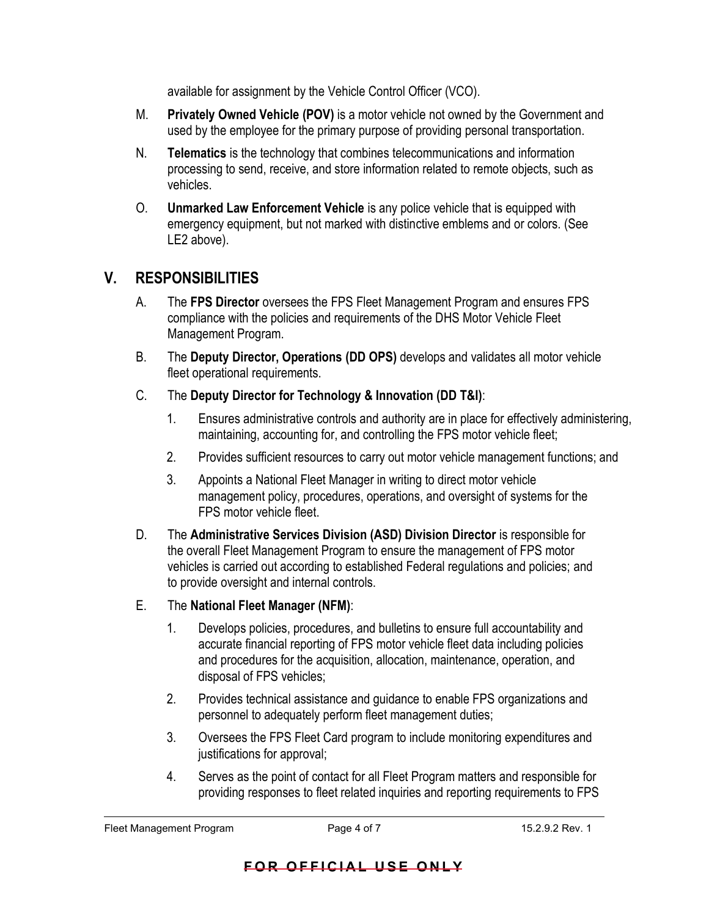available for assignment by the Vehicle Control Officer (VCO).

- M. **Privately Owned Vehicle (POV)** is a motor vehicle not owned by the Government and used by the employee for the primary purpose of providing personal transportation.
- N. **Telematics** is the technology that combines telecommunications and information processing to send, receive, and store information related to remote objects, such as vehicles.
- O. **Unmarked Law Enforcement Vehicle** is any police vehicle that is equipped with emergency equipment, but not marked with distinctive emblems and or colors. (See LE2 above).

#### **V. RESPONSIBILITIES**

- A. The **FPS Director** oversees the FPS Fleet Management Program and ensures FPS compliance with the policies and requirements of the DHS Motor Vehicle Fleet Management Program.
- B. The **Deputy Director, Operations (DD OPS)** develops and validates all motor vehicle fleet operational requirements.
- C. The **Deputy Director for Technology & Innovation (DD T&I)**:
	- 1. Ensures administrative controls and authority are in place for effectively administering, maintaining, accounting for, and controlling the FPS motor vehicle fleet;
	- 2. Provides sufficient resources to carry out motor vehicle management functions; and
	- 3. Appoints a National Fleet Manager in writing to direct motor vehicle management policy, procedures, operations, and oversight of systems for the FPS motor vehicle fleet.
- D. The **Administrative Services Division (ASD) Division Director** is responsible for the overall Fleet Management Program to ensure the management of FPS motor vehicles is carried out according to established Federal regulations and policies; and to provide oversight and internal controls.

#### E. The **National Fleet Manager (NFM)**:

- 1. Develops policies, procedures, and bulletins to ensure full accountability and accurate financial reporting of FPS motor vehicle fleet data including policies and procedures for the acquisition, allocation, maintenance, operation, and disposal of FPS vehicles;
- 2. Provides technical assistance and guidance to enable FPS organizations and personnel to adequately perform fleet management duties;
- 3. Oversees the FPS Fleet Card program to include monitoring expenditures and justifications for approval;
- 4. Serves as the point of contact for all Fleet Program matters and responsible for providing responses to fleet related inquiries and reporting requirements to FPS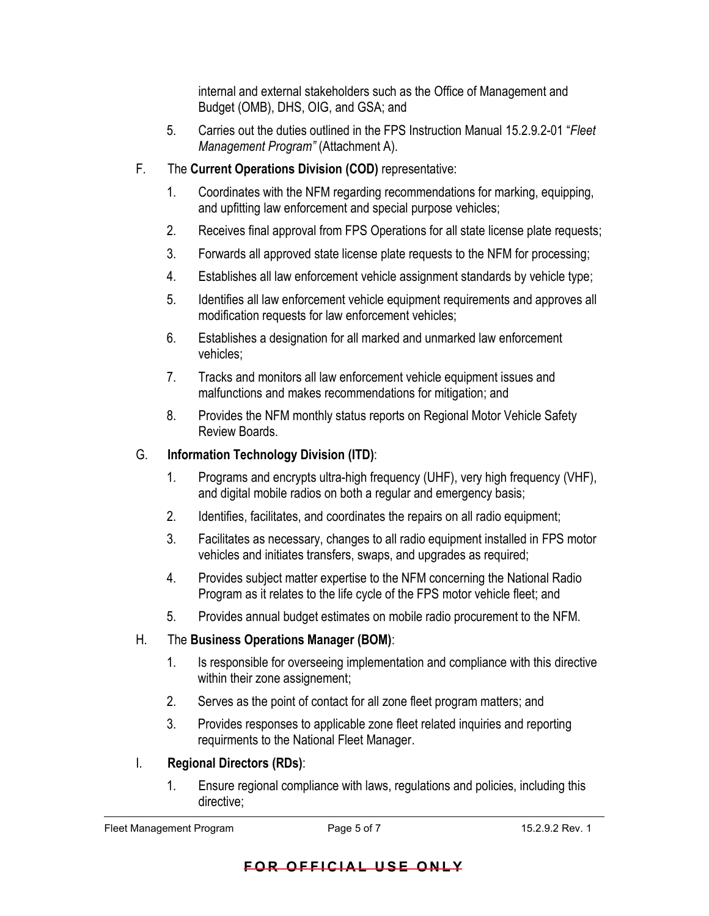internal and external stakeholders such as the Office of Management and Budget (OMB), DHS, OIG, and GSA; and

- 5. Carries out the duties outlined in the FPS Instruction Manual 15.2.9.2-01 "*Fleet Management Program"* (Attachment A).
- F. The **Current Operations Division (COD)** representative:
	- 1. Coordinates with the NFM regarding recommendations for marking, equipping, and upfitting law enforcement and special purpose vehicles;
	- 2. Receives final approval from FPS Operations for all state license plate requests;
	- 3. Forwards all approved state license plate requests to the NFM for processing;
	- 4. Establishes all law enforcement vehicle assignment standards by vehicle type;
	- 5. Identifies all law enforcement vehicle equipment requirements and approves all modification requests for law enforcement vehicles;
	- 6. Establishes a designation for all marked and unmarked law enforcement vehicles;
	- 7. Tracks and monitors all law enforcement vehicle equipment issues and malfunctions and makes recommendations for mitigation; and
	- 8. Provides the NFM monthly status reports on Regional Motor Vehicle Safety Review Boards.

#### G. **Information Technology Division (ITD)**:

- 1. Programs and encrypts ultra-high frequency (UHF), very high frequency (VHF), and digital mobile radios on both a regular and emergency basis;
- 2. Identifies, facilitates, and coordinates the repairs on all radio equipment;
- 3. Facilitates as necessary, changes to all radio equipment installed in FPS motor vehicles and initiates transfers, swaps, and upgrades as required;
- 4. Provides subject matter expertise to the NFM concerning the National Radio Program as it relates to the life cycle of the FPS motor vehicle fleet; and
- 5. Provides annual budget estimates on mobile radio procurement to the NFM.
- H. The **Business Operations Manager (BOM)**:
	- 1. Is responsible for overseeing implementation and compliance with this directive within their zone assignement;
	- 2. Serves as the point of contact for all zone fleet program matters; and
	- 3. Provides responses to applicable zone fleet related inquiries and reporting requirments to the National Fleet Manager.
- I. **Regional Directors (RDs)**:
	- 1. Ensure regional compliance with laws, regulations and policies, including this directive;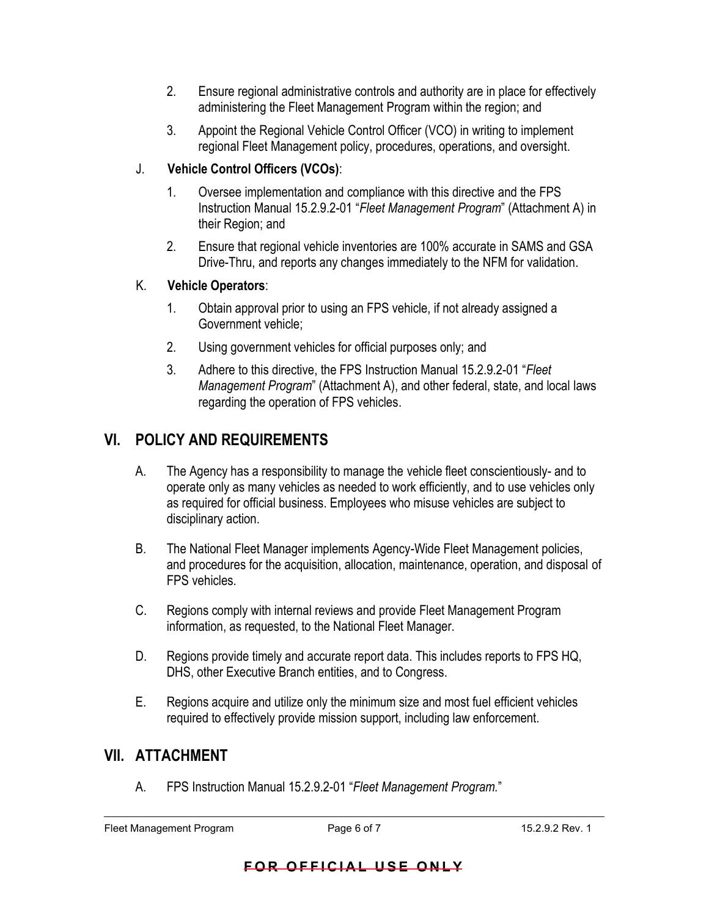- 2. Ensure regional administrative controls and authority are in place for effectively administering the Fleet Management Program within the region; and
- 3. Appoint the Regional Vehicle Control Officer (VCO) in writing to implement regional Fleet Management policy, procedures, operations, and oversight.

#### J. **Vehicle Control Officers (VCOs)**:

- 1. Oversee implementation and compliance with this directive and the FPS Instruction Manual 15.2.9.2-01 "*Fleet Management Program*" (Attachment A) in their Region; and
- 2. Ensure that regional vehicle inventories are 100% accurate in SAMS and GSA Drive-Thru, and reports any changes immediately to the NFM for validation.

#### K. **Vehicle Operators**:

- 1. Obtain approval prior to using an FPS vehicle, if not already assigned a Government vehicle;
- 2. Using government vehicles for official purposes only; and
- 3. Adhere to this directive, the FPS Instruction Manual 15.2.9.2-01 "*Fleet Management Program*" (Attachment A), and other federal, state, and local laws regarding the operation of FPS vehicles.

# **VI. POLICY AND REQUIREMENTS**

- A. The Agency has a responsibility to manage the vehicle fleet conscientiously- and to operate only as many vehicles as needed to work efficiently, and to use vehicles only as required for official business. Employees who misuse vehicles are subject to disciplinary action.
- B. The National Fleet Manager implements Agency-Wide Fleet Management policies, and procedures for the acquisition, allocation, maintenance, operation, and disposal of FPS vehicles.
- C. Regions comply with internal reviews and provide Fleet Management Program information, as requested, to the National Fleet Manager.
- D. Regions provide timely and accurate report data. This includes reports to FPS HQ, DHS, other Executive Branch entities, and to Congress.
- E. Regions acquire and utilize only the minimum size and most fuel efficient vehicles required to effectively provide mission support, including law enforcement.

## **VII. ATTACHMENT**

A. FPS Instruction Manual 15.2.9.2-01 "*Fleet Management Program.*"

#### **FOR OFFICIAL USE ONLY**